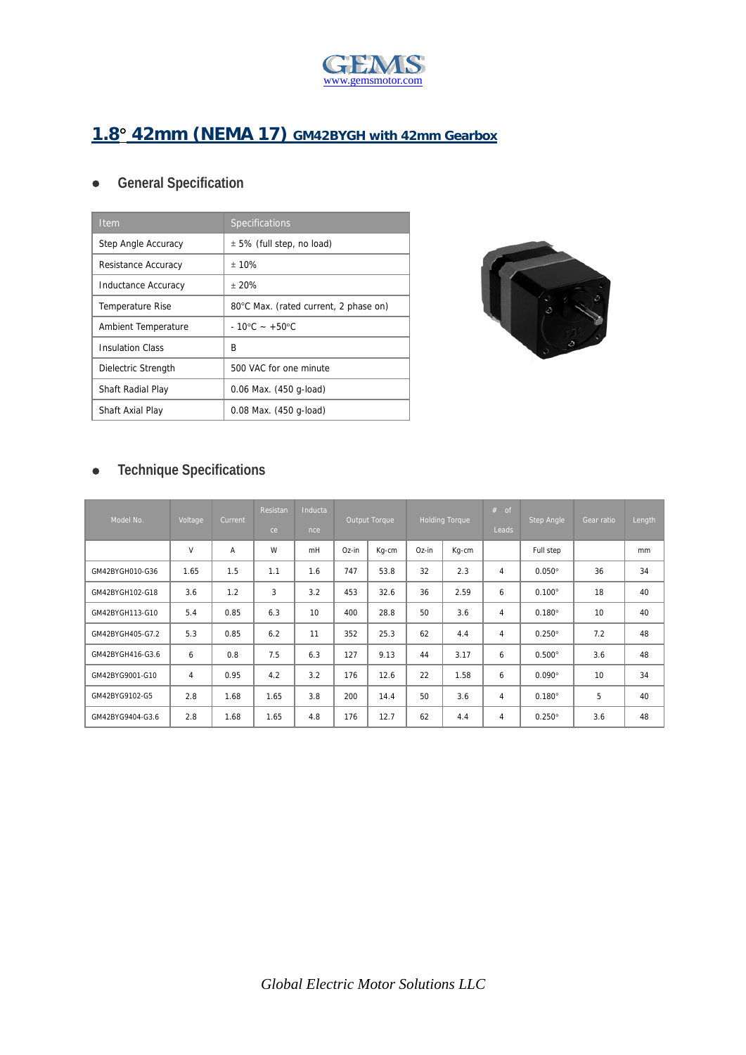

## **1.8 42mm (NEMA 17) GM42BYGH with 42mm Gearbox**

## **General Specification**

| <b>Item</b>             | Specifications                        |
|-------------------------|---------------------------------------|
| Step Angle Accuracy     | $\pm$ 5% (full step, no load)         |
| Resistance Accuracy     | ± 10%                                 |
| Inductance Accuracy     | ± 20%                                 |
| Temperature Rise        | 80°C Max. (rated current, 2 phase on) |
| Ambient Temperature     | $-10^{\circ}$ C $- +50^{\circ}$ C     |
| <b>Insulation Class</b> | R                                     |
| Dielectric Strength     | 500 VAC for one minute                |
| Shaft Radial Play       | 0.06 Max. (450 g-load)                |
| Shaft Axial Play        | 0.08 Max. (450 g-load)                |



## **Technique Specifications**

| Model No.        | Voltage        | Current | Resistan<br>ce | Inducta<br>nce | Output Torque |       | <b>Holding Torque</b> |       | $#$ of<br><b>Leads</b> | Step Angle      | Gear ratio | Length |
|------------------|----------------|---------|----------------|----------------|---------------|-------|-----------------------|-------|------------------------|-----------------|------------|--------|
|                  | V              | A       | W              | mH             | Oz-in         | Kg-cm | Oz-in                 | Kg-cm |                        | Full step       |            | mm     |
| GM42BYGH010-G36  | 1.65           | 1.5     | 1.1            | 1.6            | 747           | 53.8  | 32                    | 2.3   | 4                      | $0.050^\circ$   | 36         | 34     |
| GM42BYGH102-G18  | 3.6            | 1.2     | 3              | 3.2            | 453           | 32.6  | 36                    | 2.59  | 6                      | $0.100^{\circ}$ | 18         | 40     |
| GM42BYGH113-G10  | 5.4            | 0.85    | 6.3            | 10             | 400           | 28.8  | 50                    | 3.6   | 4                      | $0.180^\circ$   | 10         | 40     |
| GM42BYGH405-G7.2 | 5.3            | 0.85    | 6.2            | 11             | 352           | 25.3  | 62                    | 4.4   | 4                      | $0.250^\circ$   | 7.2        | 48     |
| GM42BYGH416-G3.6 | 6              | 0.8     | 7.5            | 6.3            | 127           | 9.13  | 44                    | 3.17  | 6                      | $0.500^\circ$   | 3.6        | 48     |
| GM42BYG9001-G10  | $\overline{4}$ | 0.95    | 4.2            | 3.2            | 176           | 12.6  | 22                    | 1.58  | 6                      | $0.090^\circ$   | 10         | 34     |
| GM42BYG9102-G5   | 2.8            | 1.68    | 1.65           | 3.8            | 200           | 14.4  | 50                    | 3.6   | 4                      | $0.180^\circ$   | 5          | 40     |
| GM42BYG9404-G3.6 | 2.8            | 1.68    | 1.65           | 4.8            | 176           | 12.7  | 62                    | 4.4   | 4                      | $0.250^\circ$   | 3.6        | 48     |